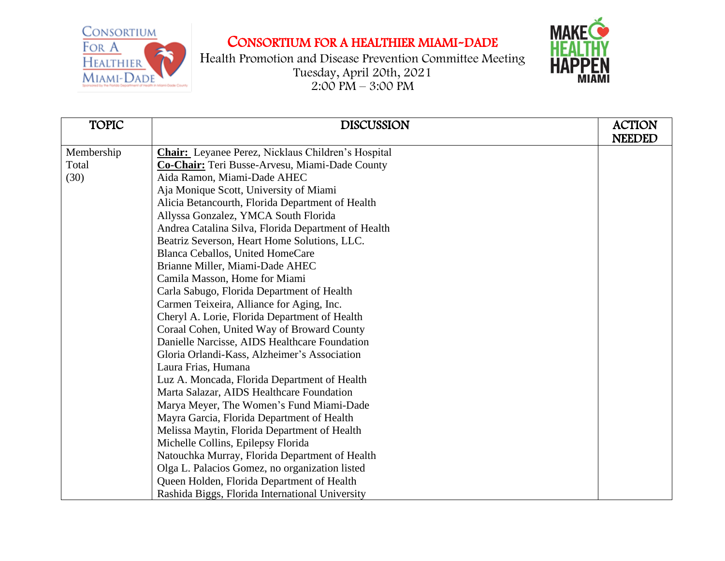



| <b>TOPIC</b> | <b>DISCUSSION</b>                                   | <b>ACTION</b> |
|--------------|-----------------------------------------------------|---------------|
|              |                                                     | <b>NEEDED</b> |
| Membership   | Chair: Leyanee Perez, Nicklaus Children's Hospital  |               |
| Total        | Co-Chair: Teri Busse-Arvesu, Miami-Dade County      |               |
| (30)         | Aida Ramon, Miami-Dade AHEC                         |               |
|              | Aja Monique Scott, University of Miami              |               |
|              | Alicia Betancourth, Florida Department of Health    |               |
|              | Allyssa Gonzalez, YMCA South Florida                |               |
|              | Andrea Catalina Silva, Florida Department of Health |               |
|              | Beatriz Severson, Heart Home Solutions, LLC.        |               |
|              | Blanca Ceballos, United HomeCare                    |               |
|              | Brianne Miller, Miami-Dade AHEC                     |               |
|              | Camila Masson, Home for Miami                       |               |
|              | Carla Sabugo, Florida Department of Health          |               |
|              | Carmen Teixeira, Alliance for Aging, Inc.           |               |
|              | Cheryl A. Lorie, Florida Department of Health       |               |
|              | Coraal Cohen, United Way of Broward County          |               |
|              | Danielle Narcisse, AIDS Healthcare Foundation       |               |
|              | Gloria Orlandi-Kass, Alzheimer's Association        |               |
|              | Laura Frias, Humana                                 |               |
|              | Luz A. Moncada, Florida Department of Health        |               |
|              | Marta Salazar, AIDS Healthcare Foundation           |               |
|              | Marya Meyer, The Women's Fund Miami-Dade            |               |
|              | Mayra Garcia, Florida Department of Health          |               |
|              | Melissa Maytin, Florida Department of Health        |               |
|              | Michelle Collins, Epilepsy Florida                  |               |
|              | Natouchka Murray, Florida Department of Health      |               |
|              | Olga L. Palacios Gomez, no organization listed      |               |
|              | Queen Holden, Florida Department of Health          |               |
|              | Rashida Biggs, Florida International University     |               |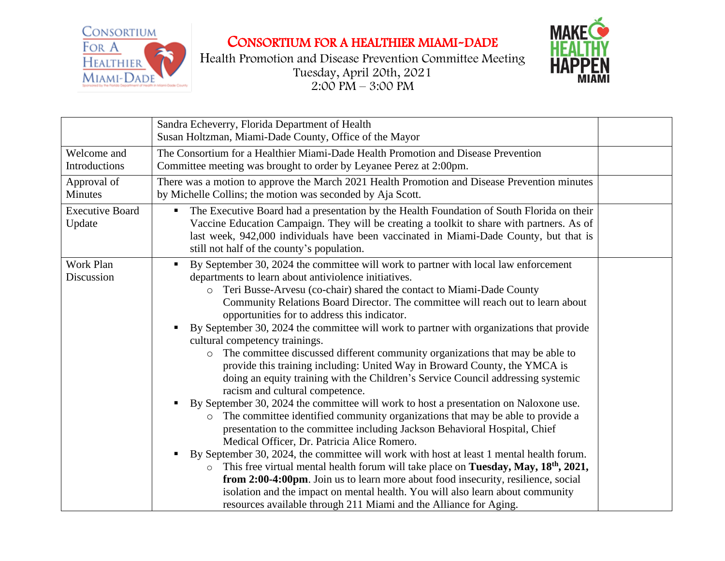



|                                  | Sandra Echeverry, Florida Department of Health<br>Susan Holtzman, Miami-Dade County, Office of the Mayor                                                                                                                                                                                                                                                                                                                                                                                                                                                                                                                                                                                                                                                                                                                                                                                                                                                                                                                                                                                                                                                                                                                                                                                                                                                                                                                                                                                                                                                                      |  |
|----------------------------------|-------------------------------------------------------------------------------------------------------------------------------------------------------------------------------------------------------------------------------------------------------------------------------------------------------------------------------------------------------------------------------------------------------------------------------------------------------------------------------------------------------------------------------------------------------------------------------------------------------------------------------------------------------------------------------------------------------------------------------------------------------------------------------------------------------------------------------------------------------------------------------------------------------------------------------------------------------------------------------------------------------------------------------------------------------------------------------------------------------------------------------------------------------------------------------------------------------------------------------------------------------------------------------------------------------------------------------------------------------------------------------------------------------------------------------------------------------------------------------------------------------------------------------------------------------------------------------|--|
| Welcome and<br>Introductions     | The Consortium for a Healthier Miami-Dade Health Promotion and Disease Prevention<br>Committee meeting was brought to order by Leyanee Perez at 2:00pm.                                                                                                                                                                                                                                                                                                                                                                                                                                                                                                                                                                                                                                                                                                                                                                                                                                                                                                                                                                                                                                                                                                                                                                                                                                                                                                                                                                                                                       |  |
| Approval of<br><b>Minutes</b>    | There was a motion to approve the March 2021 Health Promotion and Disease Prevention minutes<br>by Michelle Collins; the motion was seconded by Aja Scott.                                                                                                                                                                                                                                                                                                                                                                                                                                                                                                                                                                                                                                                                                                                                                                                                                                                                                                                                                                                                                                                                                                                                                                                                                                                                                                                                                                                                                    |  |
| <b>Executive Board</b><br>Update | The Executive Board had a presentation by the Health Foundation of South Florida on their<br>Vaccine Education Campaign. They will be creating a toolkit to share with partners. As of<br>last week, 942,000 individuals have been vaccinated in Miami-Dade County, but that is<br>still not half of the county's population.                                                                                                                                                                                                                                                                                                                                                                                                                                                                                                                                                                                                                                                                                                                                                                                                                                                                                                                                                                                                                                                                                                                                                                                                                                                 |  |
| Work Plan<br>Discussion          | By September 30, 2024 the committee will work to partner with local law enforcement<br>п<br>departments to learn about antiviolence initiatives.<br>Teri Busse-Arvesu (co-chair) shared the contact to Miami-Dade County<br>$\circ$<br>Community Relations Board Director. The committee will reach out to learn about<br>opportunities for to address this indicator.<br>By September 30, 2024 the committee will work to partner with organizations that provide<br>cultural competency trainings.<br>The committee discussed different community organizations that may be able to<br>$\circ$<br>provide this training including: United Way in Broward County, the YMCA is<br>doing an equity training with the Children's Service Council addressing systemic<br>racism and cultural competence.<br>By September 30, 2024 the committee will work to host a presentation on Naloxone use.<br>п<br>The committee identified community organizations that may be able to provide a<br>$\circ$<br>presentation to the committee including Jackson Behavioral Hospital, Chief<br>Medical Officer, Dr. Patricia Alice Romero.<br>By September 30, 2024, the committee will work with host at least 1 mental health forum.<br>п<br>This free virtual mental health forum will take place on Tuesday, May, 18 <sup>th</sup> , 2021,<br>from 2:00-4:00pm. Join us to learn more about food insecurity, resilience, social<br>isolation and the impact on mental health. You will also learn about community<br>resources available through 211 Miami and the Alliance for Aging. |  |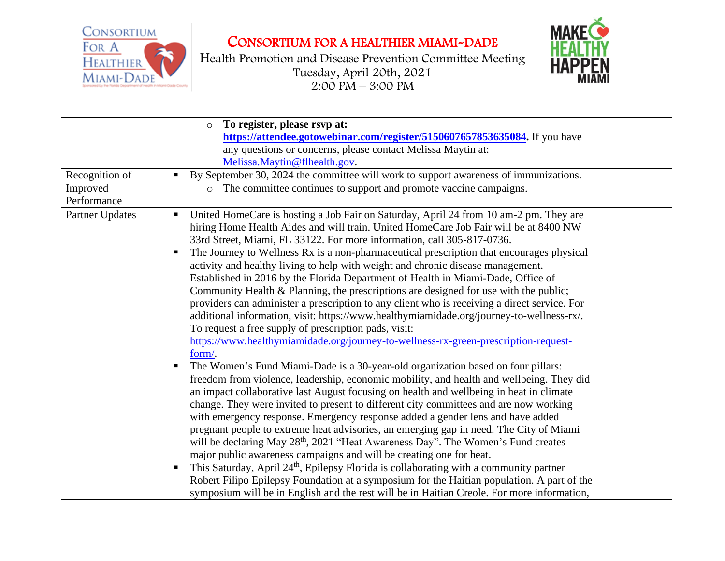



| Recognition of<br>Improved<br>Performance | To register, please rsvp at:<br>$\circ$<br>https://attendee.gotowebinar.com/register/5150607657853635084. If you have<br>any questions or concerns, please contact Melissa Maytin at:<br>Melissa.Maytin@flhealth.gov.<br>By September 30, 2024 the committee will work to support awareness of immunizations.<br>π.<br>The committee continues to support and promote vaccine campaigns.<br>$\circ$                                                                                                                                                                                                                                                                                                                                                                                                                                                                                                                                                                                                                                                                                                                                                                                                                                                                                                                                                                                                                                                                                                                                                                                                                                                                                                                                                                                                                                                                                                                                                                                                    |  |
|-------------------------------------------|--------------------------------------------------------------------------------------------------------------------------------------------------------------------------------------------------------------------------------------------------------------------------------------------------------------------------------------------------------------------------------------------------------------------------------------------------------------------------------------------------------------------------------------------------------------------------------------------------------------------------------------------------------------------------------------------------------------------------------------------------------------------------------------------------------------------------------------------------------------------------------------------------------------------------------------------------------------------------------------------------------------------------------------------------------------------------------------------------------------------------------------------------------------------------------------------------------------------------------------------------------------------------------------------------------------------------------------------------------------------------------------------------------------------------------------------------------------------------------------------------------------------------------------------------------------------------------------------------------------------------------------------------------------------------------------------------------------------------------------------------------------------------------------------------------------------------------------------------------------------------------------------------------------------------------------------------------------------------------------------------------|--|
| Partner Updates                           | United HomeCare is hosting a Job Fair on Saturday, April 24 from 10 am-2 pm. They are<br>hiring Home Health Aides and will train. United HomeCare Job Fair will be at 8400 NW<br>33rd Street, Miami, FL 33122. For more information, call 305-817-0736.<br>The Journey to Wellness Rx is a non-pharmaceutical prescription that encourages physical<br>activity and healthy living to help with weight and chronic disease management.<br>Established in 2016 by the Florida Department of Health in Miami-Dade, Office of<br>Community Health & Planning, the prescriptions are designed for use with the public;<br>providers can administer a prescription to any client who is receiving a direct service. For<br>additional information, visit: https://www.healthymiamidade.org/journey-to-wellness-rx/.<br>To request a free supply of prescription pads, visit:<br>https://www.healthymiamidade.org/journey-to-wellness-rx-green-prescription-request-<br>form/.<br>The Women's Fund Miami-Dade is a 30-year-old organization based on four pillars:<br>freedom from violence, leadership, economic mobility, and health and wellbeing. They did<br>an impact collaborative last August focusing on health and wellbeing in heat in climate<br>change. They were invited to present to different city committees and are now working<br>with emergency response. Emergency response added a gender lens and have added<br>pregnant people to extreme heat advisories, an emerging gap in need. The City of Miami<br>will be declaring May 28 <sup>th</sup> , 2021 "Heat Awareness Day". The Women's Fund creates<br>major public awareness campaigns and will be creating one for heat.<br>This Saturday, April 24 <sup>th</sup> , Epilepsy Florida is collaborating with a community partner<br>п<br>Robert Filipo Epilepsy Foundation at a symposium for the Haitian population. A part of the<br>symposium will be in English and the rest will be in Haitian Creole. For more information, |  |